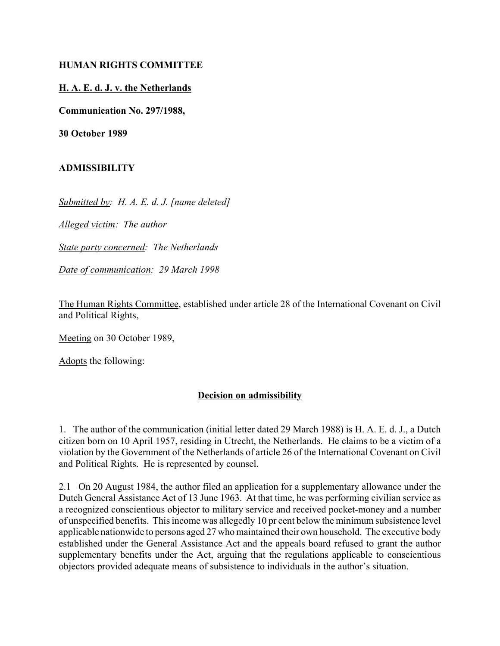## **HUMAN RIGHTS COMMITTEE**

## **H. A. E. d. J. v. the Netherlands**

**Communication No. 297/1988,**

**30 October 1989**

## **ADMISSIBILITY**

*Submitted by: H. A. E. d. J. [name deleted]*

*Alleged victim: The author*

*State party concerned: The Netherlands*

*Date of communication: 29 March 1998*

The Human Rights Committee, established under article 28 of the International Covenant on Civil and Political Rights,

Meeting on 30 October 1989,

Adopts the following:

## **Decision on admissibility**

1. The author of the communication (initial letter dated 29 March 1988) is H. A. E. d. J., a Dutch citizen born on 10 April 1957, residing in Utrecht, the Netherlands. He claims to be a victim of a violation by the Government of the Netherlands of article 26 of the International Covenant on Civil and Political Rights. He is represented by counsel.

2.1 On 20 August 1984, the author filed an application for a supplementary allowance under the Dutch General Assistance Act of 13 June 1963. At that time, he was performing civilian service as a recognized conscientious objector to military service and received pocket-money and a number of unspecified benefits. This income was allegedly 10 pr cent below the minimum subsistence level applicable nationwide to persons aged 27 who maintained their own household. The executive body established under the General Assistance Act and the appeals board refused to grant the author supplementary benefits under the Act, arguing that the regulations applicable to conscientious objectors provided adequate means of subsistence to individuals in the author's situation.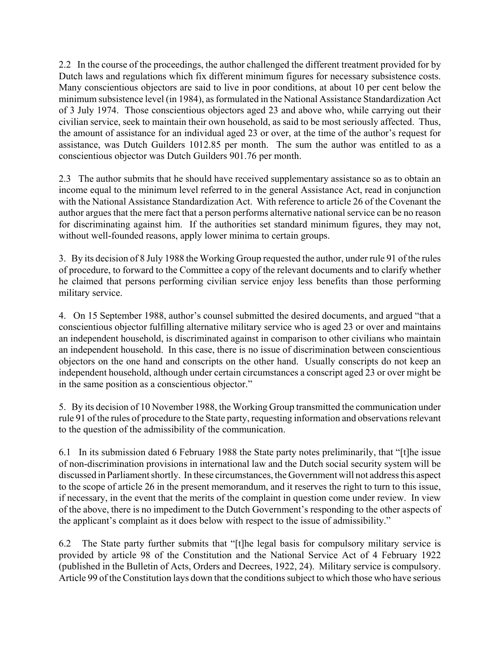2.2 In the course of the proceedings, the author challenged the different treatment provided for by Dutch laws and regulations which fix different minimum figures for necessary subsistence costs. Many conscientious objectors are said to live in poor conditions, at about 10 per cent below the minimum subsistence level (in 1984), as formulated in the National Assistance Standardization Act of 3 July 1974. Those conscientious objectors aged 23 and above who, while carrying out their civilian service, seek to maintain their own household, as said to be most seriously affected. Thus, the amount of assistance for an individual aged 23 or over, at the time of the author's request for assistance, was Dutch Guilders 1012.85 per month. The sum the author was entitled to as a conscientious objector was Dutch Guilders 901.76 per month.

2.3 The author submits that he should have received supplementary assistance so as to obtain an income equal to the minimum level referred to in the general Assistance Act, read in conjunction with the National Assistance Standardization Act. With reference to article 26 of the Covenant the author argues that the mere fact that a person performs alternative national service can be no reason for discriminating against him. If the authorities set standard minimum figures, they may not, without well-founded reasons, apply lower minima to certain groups.

3. By its decision of 8 July 1988 the Working Group requested the author, under rule 91 of the rules of procedure, to forward to the Committee a copy of the relevant documents and to clarify whether he claimed that persons performing civilian service enjoy less benefits than those performing military service.

4. On 15 September 1988, author's counsel submitted the desired documents, and argued "that a conscientious objector fulfilling alternative military service who is aged 23 or over and maintains an independent household, is discriminated against in comparison to other civilians who maintain an independent household. In this case, there is no issue of discrimination between conscientious objectors on the one hand and conscripts on the other hand. Usually conscripts do not keep an independent household, although under certain circumstances a conscript aged 23 or over might be in the same position as a conscientious objector."

5. By its decision of 10 November 1988, the Working Group transmitted the communication under rule 91 of the rules of procedure to the State party, requesting information and observations relevant to the question of the admissibility of the communication.

6.1 In its submission dated 6 February 1988 the State party notes preliminarily, that "[t]he issue of non-discrimination provisions in international law and the Dutch social security system will be discussed in Parliament shortly. In these circumstances, the Government will not address this aspect to the scope of article 26 in the present memorandum, and it reserves the right to turn to this issue, if necessary, in the event that the merits of the complaint in question come under review. In view of the above, there is no impediment to the Dutch Government's responding to the other aspects of the applicant's complaint as it does below with respect to the issue of admissibility."

6.2 The State party further submits that "[t]he legal basis for compulsory military service is provided by article 98 of the Constitution and the National Service Act of 4 February 1922 (published in the Bulletin of Acts, Orders and Decrees, 1922, 24). Military service is compulsory. Article 99 of the Constitution lays down that the conditions subject to which those who have serious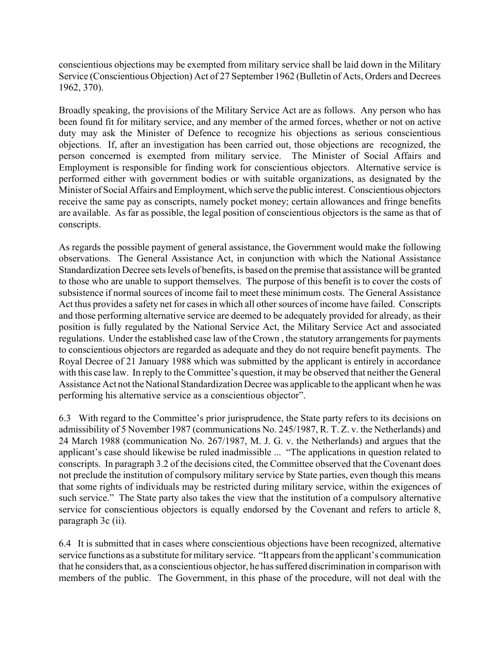conscientious objections may be exempted from military service shall be laid down in the Military Service (Conscientious Objection) Act of 27 September 1962 (Bulletin of Acts, Orders and Decrees 1962, 370).

Broadly speaking, the provisions of the Military Service Act are as follows. Any person who has been found fit for military service, and any member of the armed forces, whether or not on active duty may ask the Minister of Defence to recognize his objections as serious conscientious objections. If, after an investigation has been carried out, those objections are recognized, the person concerned is exempted from military service. The Minister of Social Affairs and Employment is responsible for finding work for conscientious objectors. Alternative service is performed either with government bodies or with suitable organizations, as designated by the Minister of Social Affairs and Employment, which serve the public interest. Conscientious objectors receive the same pay as conscripts, namely pocket money; certain allowances and fringe benefits are available. As far as possible, the legal position of conscientious objectors is the same as that of conscripts.

As regards the possible payment of general assistance, the Government would make the following observations. The General Assistance Act, in conjunction with which the National Assistance Standardization Decree sets levels of benefits, is based on the premise that assistance will be granted to those who are unable to support themselves. The purpose of this benefit is to cover the costs of subsistence if normal sources of income fail to meet these minimum costs. The General Assistance Act thus provides a safety net for cases in which all other sources of income have failed. Conscripts and those performing alternative service are deemed to be adequately provided for already, as their position is fully regulated by the National Service Act, the Military Service Act and associated regulations. Under the established case law of the Crown , the statutory arrangements for payments to conscientious objectors are regarded as adequate and they do not require benefit payments. The Royal Decree of 21 January 1988 which was submitted by the applicant is entirely in accordance with this case law. In reply to the Committee's question, it may be observed that neither the General Assistance Act not the National Standardization Decree was applicable to the applicant when he was performing his alternative service as a conscientious objector".

6.3 With regard to the Committee's prior jurisprudence, the State party refers to its decisions on admissibility of 5 November 1987 (communications No. 245/1987, R. T. Z. v. the Netherlands) and 24 March 1988 (communication No. 267/1987, M. J. G. v. the Netherlands) and argues that the applicant's case should likewise be ruled inadmissible ... "The applications in question related to conscripts. In paragraph 3.2 of the decisions cited, the Committee observed that the Covenant does not preclude the institution of compulsory military service by State parties, even though this means that some rights of individuals may be restricted during military service, within the exigences of such service." The State party also takes the view that the institution of a compulsory alternative service for conscientious objectors is equally endorsed by the Covenant and refers to article 8, paragraph 3c (ii).

6.4 It is submitted that in cases where conscientious objections have been recognized, alternative service functions as a substitute for military service. "It appears from the applicant's communication that he considers that, as a conscientious objector, he has suffered discrimination in comparison with members of the public. The Government, in this phase of the procedure, will not deal with the